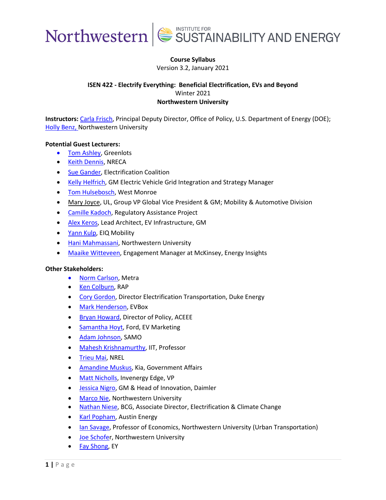

### **Course Syllabus**

Version 3.2, January 2021

### **ISEN 422 - Electrify Everything: Beneficial Electrification, EVs and Beyond** Winter 2021 **Northwestern University**

**Instructors:** [Carla Frisch,](https://www.linkedin.com/in/carla-frisch-9ba89759/) Principal Deputy Director, Office of Policy, U.S. Department of Energy (DOE); **[Holly Benz,](https://www.mccormick.northwestern.edu/research-faculty/directory/profiles/benz-holly.html) Northwestern University** 

#### **Potential Guest Lecturers:**

- [Tom Ashley,](https://www.linkedin.com/in/thomasjashley/) Greenlots
- [Keith Dennis,](https://www.linkedin.com/in/keith-dennis-9507948/) NRECA
- [Sue Gander,](https://www.linkedin.com/in/sue-gander/) Electrification Coalition
- [Kelly Helfrich,](https://www.linkedin.com/in/kelly-helfrich-424777b/) GM Electric Vehicle Grid Integration and Strategy Manager
- [Tom Hulsebosch,](https://www.linkedin.com/in/tomhulsebosch/) West Monroe
- [Mary Joyce,](https://www.linkedin.com/in/maryjoyce/) UL, Group VP Global Vice President & GM; Mobility & Automotive Division
- [Camille Kadoch,](https://www.linkedin.com/in/camille-hensler-kadoch-9048a55/) Regulatory Assistance Project
- [Alex Keros,](https://www.linkedin.com/in/alexkeros/) Lead Architect, EV Infrastructure, GM
- [Yann Kulp,](https://www.linkedin.com/in/yannkulp/) EIQ Mobility
- [Hani Mahmassani,](https://www.mccormick.northwestern.edu/research-faculty/directory/profiles/mahmassani-hani.html) Northwestern University
- [Maaike Witteveen,](https://www.linkedin.com/in/maaikewitteveen/) Engagement Manager at McKinsey, Energy Insights

#### **Other Stakeholders:**

- [Norm Carlson,](file:///C:/Users/htbenz/Box/MASTERS/CURRICULUM/SYLLABI/ISEN%20422%20-%20Electrify%20Everything/•%09https:/metrarail.com/about-metra/leadership/board-directors/norman-carlson) Metra
- [Ken Colburn,](http://www.raponline.org/staff/ken-colburn/) RAP
- [Cory Gordon,](https://www.linkedin.com/in/corygordon/) Director Electrification Transportation, Duke Energy
- [Mark Henderson,](https://www.linkedin.com/in/mark-henderson-3a74a32/) EVBox
- [Bryan Howard,](https://www.linkedin.com/in/bryan-howard-9144244/) Director of Policy, ACEEE
- [Samantha Hoyt,](https://www.linkedin.com/in/samanthahoyt/) Ford, EV Marketing
- [Adam Johnson,](https://www.linkedin.com/in/adamjohnsonnnn/) SAMO
- [Mahesh Krishnamurthy,](https://www.linkedin.com/in/mahesh-krishnamurthy-07b2323/) IIT, Professor
- [Trieu Mai,](https://www.linkedin.com/in/trieu-mai/) NREL
- [Amandine Muskus,](https://www.linkedin.com/in/amuskus/) Kia, Government Affairs
- [Matt Nicholls,](https://www.linkedin.com/in/matt-c-nicholls/) Invenergy Edge, VP
- [Jessica Nigro,](https://www.linkedin.com/in/jessica-altschul-nigro-2010986/) GM & Head of Innovation, Daimler
- [Marco Nie,](https://www.mccormick.northwestern.edu/research-faculty/directory/profiles/nie-yu.html) Northwestern University
- [Nathan Niese,](https://www.linkedin.com/in/nathan-niese/) BCG, Associate Director, Electrification & Climate Change
- [Karl Popham,](https://www.linkedin.com/in/karlpopham/) Austin Energy
- [Ian Savage,](https://economics.northwestern.edu/people/directory/ian-savage.html) Professor of Economics, Northwestern University (Urban Transportation)
- [Joe Schofer](https://www.mccormick.northwestern.edu/research-faculty/directory/profiles/schofer-joseph.html), Northwestern University
- [Fay Shong,](https://www.linkedin.com/in/fay-shong-9290575/) EY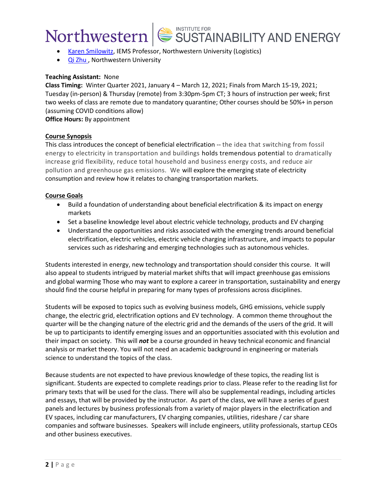

- [Karen Smilowitz,](http://users.iems.northwestern.edu/~smilo/) IEMS Professor, Northwestern University (Logistics)
- [Qi Zhu](https://www.mccormick.northwestern.edu/research-faculty/directory/profiles/zhu-qi.html) , Northwestern University

### **Teaching Assistant:** None

**Class Timing:** Winter Quarter 2021, January 4 – March 12, 2021; Finals from March 15-19, 2021; Tuesday (in-person) & Thursday (remote) from 3:30pm-5pm CT; 3 hours of instruction per week; first two weeks of class are remote due to mandatory quarantine; Other courses should be 50%+ in person (assuming COVID conditions allow)

**Office Hours:** By appointment

### **Course Synopsis**

This class introduces the concept of beneficial electrification -- the idea that switching from fossil energy to electricity in transportation and buildings holds tremendous potential to dramatically increase grid flexibility, reduce total household and business energy costs, and reduce air pollution and greenhouse gas emissions. We will explore the emerging state of electricity consumption and review how it relates to changing transportation markets.

#### **Course Goals**

- Build a foundation of understanding about beneficial electrification & its impact on energy markets
- Set a baseline knowledge level about electric vehicle technology, products and EV charging
- Understand the opportunities and risks associated with the emerging trends around beneficial electrification, electric vehicles, electric vehicle charging infrastructure, and impacts to popular services such as ridesharing and emerging technologies such as autonomous vehicles.

Students interested in energy, new technology and transportation should consider this course. It will also appeal to students intrigued by material market shifts that will impact greenhouse gas emissions and global warming Those who may want to explore a career in transportation, sustainability and energy should find the course helpful in preparing for many types of professions across disciplines.

Students will be exposed to topics such as evolving business models, GHG emissions, vehicle supply change, the electric grid, electrification options and EV technology. A common theme throughout the quarter will be the changing nature of the electric grid and the demands of the users of the grid. It will be up to participants to identify emerging issues and an opportunities associated with this evolution and their impact on society. This will *not* be a course grounded in heavy technical economic and financial analysis or market theory. You will not need an academic background in engineering or materials science to understand the topics of the class.

Because students are not expected to have previous knowledge of these topics, the reading list is significant. Students are expected to complete readings prior to class. Please refer to the reading list for primary texts that will be used for the class. There will also be supplemental readings, including articles and essays, that will be provided by the instructor. As part of the class, we will have a series of guest panels and lectures by business professionals from a variety of major players in the electrification and EV spaces, including car manufacturers, EV charging companies, utilities, rideshare / car share companies and software businesses. Speakers will include engineers, utility professionals, startup CEOs and other business executives.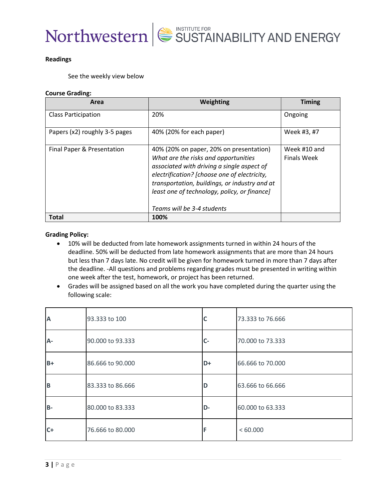

#### **Readings**

See the weekly view below

#### **Course Grading:**

| Area                          | Weighting                                                                                                                                                                                                                                                                                                    | <b>Timing</b>                      |
|-------------------------------|--------------------------------------------------------------------------------------------------------------------------------------------------------------------------------------------------------------------------------------------------------------------------------------------------------------|------------------------------------|
| <b>Class Participation</b>    | 20%                                                                                                                                                                                                                                                                                                          | Ongoing                            |
| Papers (x2) roughly 3-5 pages | 40% (20% for each paper)                                                                                                                                                                                                                                                                                     | Week #3, #7                        |
| Final Paper & Presentation    | 40% (20% on paper, 20% on presentation)<br>What are the risks and opportunities<br>associated with driving a single aspect of<br>electrification? [choose one of electricity,<br>transportation, buildings, or industry and at<br>least one of technology, policy, or finance]<br>Teams will be 3-4 students | Week #10 and<br><b>Finals Week</b> |
| <b>Total</b>                  | 100%                                                                                                                                                                                                                                                                                                         |                                    |

#### **Grading Policy:**

- 10% will be deducted from late homework assignments turned in within 24 hours of the deadline. 50% will be deducted from late homework assignments that are more than 24 hours but less than 7 days late. No credit will be given for homework turned in more than 7 days after the deadline. -All questions and problems regarding grades must be presented in writing within one week after the test, homework, or project has been returned.
- Grades will be assigned based on all the work you have completed during the quarter using the following scale:

| A     | 93.333 to 100    |    | 73.333 to 76.666 |
|-------|------------------|----|------------------|
| A-    | 90.000 to 93.333 | C- | 70.000 to 73.333 |
| $B+$  | 86.666 to 90.000 | D+ | 66.666 to 70.000 |
| B     | 83.333 to 86.666 | D  | 63.666 to 66.666 |
| $B -$ | 80.000 to 83.333 | D- | 60.000 to 63.333 |
| $C+$  | 76.666 to 80.000 |    | <60.000          |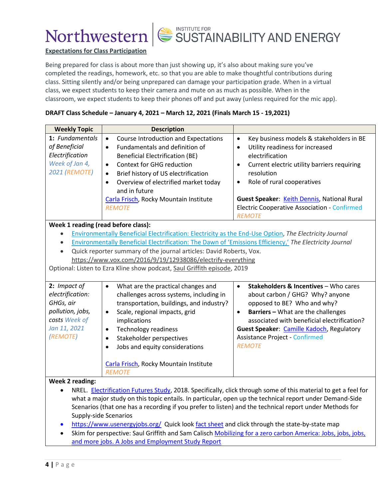![](_page_3_Picture_0.jpeg)

![](_page_3_Picture_1.jpeg)

#### **Expectations for Class Participation**

Being prepared for class is about more than just showing up, it's also about making sure you've completed the readings, homework, etc. so that you are able to make thoughtful contributions during class. Sitting silently and/or being unprepared can damage your participation grade. When in a virtual class, we expect students to keep their camera and mute on as much as possible. When in the classroom, we expect students to keep their phones off and put away (unless required for the mic app).

#### **DRAFT Class Schedule – January 4, 2021 – March 12, 2021 (Finals March 15 - 19,2021)**

| <b>Weekly Topic</b>                                                                                            | <b>Description</b>                                                                                                                                                                                                                                                                                                                                                                                                                  |                                                                                                                                                                                                                                                                                                                                                                      |
|----------------------------------------------------------------------------------------------------------------|-------------------------------------------------------------------------------------------------------------------------------------------------------------------------------------------------------------------------------------------------------------------------------------------------------------------------------------------------------------------------------------------------------------------------------------|----------------------------------------------------------------------------------------------------------------------------------------------------------------------------------------------------------------------------------------------------------------------------------------------------------------------------------------------------------------------|
| 1: Fundamentals<br>of Beneficial<br>Electrification<br>Week of Jan 4,<br><b>2021 (REMOTE)</b>                  | <b>Course Introduction and Expectations</b><br>$\bullet$<br>Fundamentals and definition of<br>$\bullet$<br><b>Beneficial Electrification (BE)</b><br>Context for GHG reduction<br>$\bullet$<br>Brief history of US electrification<br>$\bullet$<br>Overview of electrified market today<br>$\bullet$<br>and in future<br>Carla Frisch, Rocky Mountain Institute<br><b>REMOTE</b>                                                    | Key business models & stakeholders in BE<br>$\bullet$<br>Utility readiness for increased<br>$\bullet$<br>electrification<br>Current electric utility barriers requiring<br>$\bullet$<br>resolution<br>Role of rural cooperatives<br>$\bullet$<br>Guest Speaker: Keith Dennis, National Rural<br><b>Electric Cooperative Association - Confirmed</b><br><b>REMOTE</b> |
| Week 1 reading (read before class):                                                                            |                                                                                                                                                                                                                                                                                                                                                                                                                                     |                                                                                                                                                                                                                                                                                                                                                                      |
| $\bullet$<br>$\bullet$                                                                                         | Environmentally Beneficial Electrification: Electricity as the End-Use Option, The Electricity Journal<br>Environmentally Beneficial Electrification: The Dawn of 'Emissions Efficiency,' The Electricity Journal<br>Quick reporter summary of the journal articles: David Roberts, Vox.<br>https://www.vox.com/2016/9/19/12938086/electrify-everything<br>Optional: Listen to Ezra Kline show podcast, Saul Griffith episode, 2019 |                                                                                                                                                                                                                                                                                                                                                                      |
| 2: Impact of<br>electrification:<br>GHGs, air<br>pollution, jobs,<br>costs Week of<br>Jan 11, 2021<br>(REMOTE) | What are the practical changes and<br>$\bullet$<br>challenges across systems, including in<br>transportation, buildings, and industry?<br>Scale, regional impacts, grid<br>$\bullet$<br>implications<br><b>Technology readiness</b><br>$\bullet$<br>Stakeholder perspectives<br>$\bullet$<br>Jobs and equity considerations<br>$\bullet$<br>Carla Frisch, Rocky Mountain Institute<br><b>REMOTE</b>                                 | Stakeholders & Incentives - Who cares<br>$\bullet$<br>about carbon / GHG? Why? anyone<br>opposed to BE? Who and why?<br><b>Barriers - What are the challenges</b><br>$\bullet$<br>associated with beneficial electrification?<br><b>Guest Speaker: Camille Kadoch, Regulatory</b><br><b>Assistance Project - Confirmed</b><br><b>REMOTE</b>                          |
| <b>Week 2 reading:</b>                                                                                         | what a major study on this topic entails. In particular, open up the technical report under Demand-Side<br>Scenarios (that one has a recording if you prefer to listen) and the technical report under Methods for<br>Supply-side Scenarios<br>https://www.usepergviobs.org/ Quick look fact sheet and click through the state-by-state man                                                                                         | NREL. Electrification Futures Study, 2018. Specifically, click through some of this material to get a feel for                                                                                                                                                                                                                                                       |

- <u>/www.usenergyjobs.org/</u> Quick look <u>fact sheet</u> and click through the state-by-state map
- Skim for perspective: Saul Griffith and Sam Calisch [Mobilizing for a zero carbon America:](https://www.rewiringamerica.org/jobs-report) Jobs, jobs, jobs, [and more jobs. A Jobs and Employment Study Report](https://www.rewiringamerica.org/jobs-report)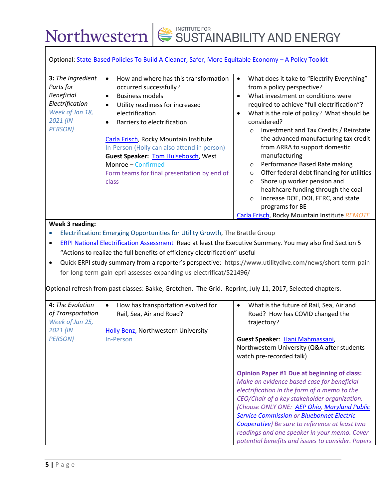|                                                                                                                         | Optional: State-Based Policies To Build A Cleaner, Safer, More Equitable Economy - A Policy Toolkit                                                                                                                                                                                                                                                                                                                                 |                                                                                                                                                                                                                                                                                                                                                                                                                                                                                                                                                                                                                                                                                                                               |
|-------------------------------------------------------------------------------------------------------------------------|-------------------------------------------------------------------------------------------------------------------------------------------------------------------------------------------------------------------------------------------------------------------------------------------------------------------------------------------------------------------------------------------------------------------------------------|-------------------------------------------------------------------------------------------------------------------------------------------------------------------------------------------------------------------------------------------------------------------------------------------------------------------------------------------------------------------------------------------------------------------------------------------------------------------------------------------------------------------------------------------------------------------------------------------------------------------------------------------------------------------------------------------------------------------------------|
| 3: The Ingredient<br>Parts for<br><b>Beneficial</b><br>Electrification<br>Week of Jan 18,<br>2021 (IN<br><b>PERSON)</b> | How and where has this transformation<br>$\bullet$<br>occurred successfully?<br><b>Business models</b><br>$\bullet$<br>Utility readiness for increased<br>$\bullet$<br>electrification<br>Barriers to electrification<br>Carla Frisch, Rocky Mountain Institute<br>In-Person (Holly can also attend in person)<br>Guest Speaker: Tom Hulsebosch, West<br>Monroe - Confirmed<br>Form teams for final presentation by end of<br>class | What does it take to "Electrify Everything"<br>$\bullet$<br>from a policy perspective?<br>What investment or conditions were<br>$\bullet$<br>required to achieve "full electrification"?<br>What is the role of policy? What should be<br>$\bullet$<br>considered?<br>Investment and Tax Credits / Reinstate<br>$\circ$<br>the advanced manufacturing tax credit<br>from ARRA to support domestic<br>manufacturing<br>Performance Based Rate making<br>$\circ$<br>Offer federal debt financing for utilities<br>$\circ$<br>Shore up worker pension and<br>$\circ$<br>healthcare funding through the coal<br>Increase DOE, DOI, FERC, and state<br>$\circ$<br>programs for BE<br>Carla Frisch, Rocky Mountain Institute REMOTE |
| $\bullet$<br>٠<br>4: The Evolution                                                                                      | ERPI National Electrification Assessment Read at least the Executive Summary. You may also find Section 5<br>"Actions to realize the full benefits of efficiency electrification" useful<br>for-long-term-gain-epri-assesses-expanding-us-electrificat/521496/<br>Optional refresh from past classes: Bakke, Gretchen. The Grid. Reprint, July 11, 2017, Selected chapters.<br>How has transportation evolved for<br>$\bullet$      | Quick ERPI study summary from a reporter's perspective: https://www.utilitydive.com/news/short-term-pain-<br>What is the future of Rail, Sea, Air and<br>$\bullet$                                                                                                                                                                                                                                                                                                                                                                                                                                                                                                                                                            |
| of Transportation<br>Week of Jan 25,<br>2021 (IN<br><b>PERSON)</b>                                                      | Rail, Sea, Air and Road?<br>Holly Benz, Northwestern University<br>In-Person                                                                                                                                                                                                                                                                                                                                                        | Road? How has COVID changed the<br>trajectory?<br>Guest Speaker: Hani Mahmassani,<br>Northwestern University (Q&A after students<br>watch pre-recorded talk)                                                                                                                                                                                                                                                                                                                                                                                                                                                                                                                                                                  |
|                                                                                                                         |                                                                                                                                                                                                                                                                                                                                                                                                                                     | <b>Opinion Paper #1 Due at beginning of class:</b><br>Make an evidence based case for beneficial<br>electrification in the form of a memo to the<br>CEO/Chair of a key stakeholder organization.<br>(Choose ONLY ONE: AEP Ohio, Maryland Public<br><b>Service Commission or Bluebonnet Electric</b><br>Cooperative) Be sure to reference at least two<br>readings and one speaker in your memo. Cover<br>potential benefits and issues to consider. Papers                                                                                                                                                                                                                                                                    |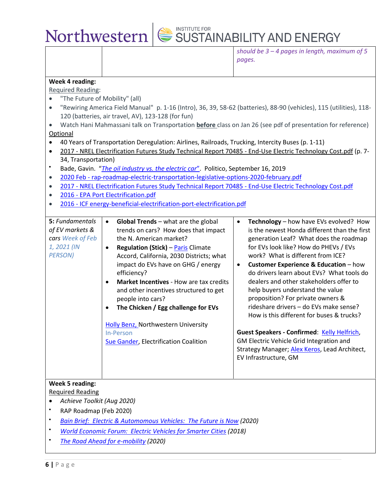![](_page_5_Picture_0.jpeg)

| should be $3 - 4$ pages in length, maximum of 5 |  |  |
|-------------------------------------------------|--|--|
| pages.                                          |  |  |

#### **Week 4 reading:**

#### Required Reading:

- "The Future of Mobility" (all)
- "Rewiring America Field Manual" p. 1-16 (Intro), 36, 39, 58-62 (batteries), 88-90 (vehicles), 115 (utilities), 118- 120 (batteries, air travel, AV), 123-128 (for fun)
- Watch Hani Mahmassani talk on Transportation **before** class on Jan 26 (see pdf of presentation for reference) Optional
- 40 Years of Transportation Deregulation: Airlines, Railroads, Trucking, Intercity Buses (p. 1-11)
- 2017 [NREL Electrification Futures Study Technical Report 70485 -](https://canvas.northwestern.edu/courses/133186/modules/items/1773124) End-Use Electric Technology Cost.pdf (p. 7- 34, Transportation)
- Bade, Gavin. "*[The oil industry vs. the electric car](https://www.politico.com/story/2019/09/16/oil-industry-electric-car-1729429)*". Politico, September 16, 2019
- 2020 Feb [rap-roadmap-electric-transportation-legislative-options-2020-february.pdf](https://canvas.northwestern.edu/courses/133186/modules/items/1800411)
- 2017 [NREL Electrification Futures Study Technical Report 70485 -](https://canvas.northwestern.edu/courses/133186/modules/items/1773124) End-Use Electric Technology Cost.pdf
- 2016 [EPA Port Electrification.pdf](https://canvas.northwestern.edu/courses/133186/modules/items/1804004)
- 2016 [ICF energy-beneficial-electrification-port-electrification.pdf](https://canvas.northwestern.edu/courses/133186/modules/items/1804005)

| <b>5</b> : Fundamentals<br>of EV markets &<br>cars Week of Feb<br>1, 2021 (IN<br><b>PERSON)</b> | <b>Global Trends</b> $-$ what are the global<br>$\bullet$<br>trends on cars? How does that impact<br>the N. American market?<br><b>Regulation (Stick) - Paris Climate</b><br>$\bullet$<br>Accord, California, 2030 Districts; what<br>impact do EVs have on GHG / energy<br>efficiency?<br><b>Market Incentives - How are tax credits</b><br>$\bullet$<br>and other incentives structured to get<br>people into cars?<br>The Chicken / Egg challenge for EVs<br>$\bullet$<br><b>Holly Benz, Northwestern University</b><br>In-Person<br>Sue Gander, Electrification Coalition | <b>Technology</b> – how have EVs evolved? How<br>$\bullet$<br>is the newest Honda different than the first<br>generation Leaf? What does the roadmap<br>for EVs look like? How do PHEVs / EVs<br>work? What is different from ICE?<br><b>Customer Experience &amp; Education - how</b><br>do drivers learn about EVs? What tools do<br>dealers and other stakeholders offer to<br>help buyers understand the value<br>proposition? For private owners &<br>rideshare drivers – do EVs make sense?<br>How is this different for buses & trucks?<br>Guest Speakers - Confirmed: Kelly Helfrich,<br>GM Electric Vehicle Grid Integration and<br>Strategy Manager; Alex Keros, Lead Architect,<br>EV Infrastructure, GM |
|-------------------------------------------------------------------------------------------------|-------------------------------------------------------------------------------------------------------------------------------------------------------------------------------------------------------------------------------------------------------------------------------------------------------------------------------------------------------------------------------------------------------------------------------------------------------------------------------------------------------------------------------------------------------------------------------|---------------------------------------------------------------------------------------------------------------------------------------------------------------------------------------------------------------------------------------------------------------------------------------------------------------------------------------------------------------------------------------------------------------------------------------------------------------------------------------------------------------------------------------------------------------------------------------------------------------------------------------------------------------------------------------------------------------------|
| $M/L = 1.05$ and $M/L = 1$                                                                      |                                                                                                                                                                                                                                                                                                                                                                                                                                                                                                                                                                               |                                                                                                                                                                                                                                                                                                                                                                                                                                                                                                                                                                                                                                                                                                                     |

#### **Week 5 reading:** Required Reading

- *Achieve Toolkit (Aug 2020)*
- RAP Roadmap (Feb 2020)
- *[Bain Brief: Electric & Automomous Vehicles: The Future is Now](file:///C:/Users/htbenz/Box/MASTERS/CURRICULUM/SYLLABI/ISEN%20422%20-%20Electrify%20Everything/•%09bain_brief_electric_and_autonomous_vehicles_the_future_is_now.pdf) (2020)*
- *[World Economic Forum: Electric Vehicles for Smarter Cities](http://www3.weforum.org/docs/WEF_2018_%20Electric_For_Smarter_Cities.pdf) (2018)*
- *[The Road Ahead for e-mobility](https://www.mckinsey.com/~/media/McKinsey/Industries/Automotive%20and%20Assembly/Our%20Insights/The%20road%20ahead%20for%20e%20mobility/The-road-ahead-for-e-mobility-vF.pdf) (2020)*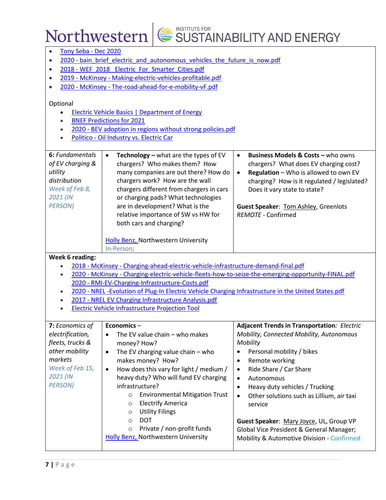| $\bullet$              | Tony Seba - Dec 2020                                                                                                                                    |                                                                                        |  |  |
|------------------------|---------------------------------------------------------------------------------------------------------------------------------------------------------|----------------------------------------------------------------------------------------|--|--|
| $\bullet$              | 2020 - bain brief electric and autonomous vehicles the future is now.pdf                                                                                |                                                                                        |  |  |
| $\bullet$              | 2018 - WEF_2018_Electric_For_Smarter_Cities.pdf                                                                                                         |                                                                                        |  |  |
| $\bullet$              | 2019 - McKinsey - Making-electric-vehicles-profitable.pdf                                                                                               |                                                                                        |  |  |
| $\bullet$              | 2020 - McKinsey - The-road-ahead-for-e-mobility-vF.pdf                                                                                                  |                                                                                        |  |  |
|                        |                                                                                                                                                         |                                                                                        |  |  |
| Optional               |                                                                                                                                                         |                                                                                        |  |  |
|                        | <b>Electric Vehicle Basics   Department of Energy</b>                                                                                                   |                                                                                        |  |  |
|                        | <b>BNEF Predictions for 2021</b>                                                                                                                        |                                                                                        |  |  |
|                        | 2020 - BEV adoption in regions without strong policies.pdf                                                                                              |                                                                                        |  |  |
|                        | Politico - Oil Industry vs. Electric Car                                                                                                                |                                                                                        |  |  |
|                        |                                                                                                                                                         |                                                                                        |  |  |
| 6: Fundamentals        | $\bullet$<br><b>Technology</b> – what are the types of EV                                                                                               | <b>Business Models &amp; Costs - who owns</b><br>$\bullet$                             |  |  |
| of EV charging &       | chargers? Who makes them? How                                                                                                                           | chargers? What does EV charging cost?                                                  |  |  |
| utility                | many companies are out there? How do                                                                                                                    | Regulation - Who is allowed to own EV<br>$\bullet$                                     |  |  |
| distribution           | chargers work? How are the wall                                                                                                                         | charging? How is it regulated / legislated?                                            |  |  |
| Week of Feb 8,         | chargers different from chargers in cars                                                                                                                | Does it vary state to state?                                                           |  |  |
| 2021 (IN               | or charging pads? What technologies                                                                                                                     |                                                                                        |  |  |
| <b>PERSON)</b>         | are in development? What is the<br><b>Guest Speaker: Tom Ashley, Greenlots</b>                                                                          |                                                                                        |  |  |
|                        | relative importance of SW vs HW for<br><b>REMOTE - Confirmed</b>                                                                                        |                                                                                        |  |  |
|                        | both cars and charging?                                                                                                                                 |                                                                                        |  |  |
|                        |                                                                                                                                                         |                                                                                        |  |  |
|                        | <b>Holly Benz, Northwestern University</b>                                                                                                              |                                                                                        |  |  |
|                        | In-Person;                                                                                                                                              |                                                                                        |  |  |
| <b>Week 6 reading:</b> |                                                                                                                                                         |                                                                                        |  |  |
|                        | 2018 - McKinsey - Charging-ahead-electric-vehicle-infrastructure-demand-final.pdf                                                                       |                                                                                        |  |  |
| $\bullet$              | 2020 - McKinsey - Charging-electric-vehicle-fleets-how-to-seize-the-emerging-opportunity-FINAL.pdf                                                      |                                                                                        |  |  |
| $\bullet$              | 2020 - RMI-EV-Charging-Infrastructure-Costs.pdf<br>2020 - NREL - Evolution of Plug-In Electric Vehicle Charging Infrastructure in the United States.pdf |                                                                                        |  |  |
|                        | 2017 - NREL EV Charging Infrastructure Analysis.pdf                                                                                                     |                                                                                        |  |  |
|                        | <b>Electric Vehicle Infrastructure Projection Tool</b>                                                                                                  |                                                                                        |  |  |
|                        |                                                                                                                                                         |                                                                                        |  |  |
| 7: Economics of        | Economics-                                                                                                                                              | <b>Adjacent Trends in Transportation: Electric</b>                                     |  |  |
| electrification,       | The EV value chain - who makes<br>$\bullet$                                                                                                             | Mobility, Connected Mobility, Autonomous                                               |  |  |
| fleets, trucks &       | money? How?                                                                                                                                             | Mobility                                                                               |  |  |
| other mobility         | The EV charging value chain - who<br>$\bullet$                                                                                                          | Personal mobility / bikes                                                              |  |  |
| markets                | makes money? How?                                                                                                                                       | Remote working<br>$\bullet$                                                            |  |  |
| Week of Feb 15,        | How does this vary for light / medium /<br>$\bullet$                                                                                                    | Ride Share / Car Share<br>$\bullet$                                                    |  |  |
| 2021 (IN               | heavy duty? Who will fund EV charging                                                                                                                   | Autonomous<br>$\bullet$                                                                |  |  |
| <b>PERSON)</b>         | infrastructure?                                                                                                                                         | Heavy duty vehicles / Trucking<br>$\bullet$                                            |  |  |
|                        |                                                                                                                                                         |                                                                                        |  |  |
|                        |                                                                                                                                                         |                                                                                        |  |  |
|                        | <b>Environmental Mitigation Trust</b><br>$\circ$                                                                                                        | Other solutions such as Lillium, air taxi<br>$\bullet$                                 |  |  |
|                        | <b>Electrify America</b><br>$\circ$                                                                                                                     | service                                                                                |  |  |
|                        | <b>Utility Filings</b><br>$\circ$                                                                                                                       |                                                                                        |  |  |
|                        | <b>DOT</b><br>O                                                                                                                                         | Guest Speaker: Mary Joyce, UL, Group VP                                                |  |  |
|                        | Private / non-profit funds<br>$\circ$<br><b>Holly Benz, Northwestern University</b>                                                                     | Global Vice President & General Manager;<br>Mobility & Automotive Division - Confirmed |  |  |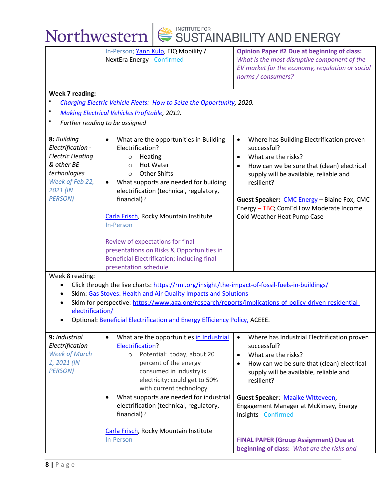|                                                                                                                                            | In-Person; Yann Kulp, EIQ Mobility /<br><b>NextEra Energy - Confirmed</b>                                                                                                                                                                                                                                                                                                                                                                                                                 | <b>Opinion Paper #2 Due at beginning of class:</b><br>What is the most disruptive component of the                                                                                                                                                                                                                                                    |
|--------------------------------------------------------------------------------------------------------------------------------------------|-------------------------------------------------------------------------------------------------------------------------------------------------------------------------------------------------------------------------------------------------------------------------------------------------------------------------------------------------------------------------------------------------------------------------------------------------------------------------------------------|-------------------------------------------------------------------------------------------------------------------------------------------------------------------------------------------------------------------------------------------------------------------------------------------------------------------------------------------------------|
|                                                                                                                                            |                                                                                                                                                                                                                                                                                                                                                                                                                                                                                           | EV market for the economy, regulation or social<br>norms / consumers?                                                                                                                                                                                                                                                                                 |
| <b>Week 7 reading:</b>                                                                                                                     |                                                                                                                                                                                                                                                                                                                                                                                                                                                                                           |                                                                                                                                                                                                                                                                                                                                                       |
|                                                                                                                                            | Charging Electric Vehicle Fleets: How to Seize the Opportunity, 2020.                                                                                                                                                                                                                                                                                                                                                                                                                     |                                                                                                                                                                                                                                                                                                                                                       |
|                                                                                                                                            | <b>Making Electrical Vehicles Profitable, 2019.</b>                                                                                                                                                                                                                                                                                                                                                                                                                                       |                                                                                                                                                                                                                                                                                                                                                       |
|                                                                                                                                            | Further reading to be assigned                                                                                                                                                                                                                                                                                                                                                                                                                                                            |                                                                                                                                                                                                                                                                                                                                                       |
| 8: Building<br>Electrification -<br><b>Electric Heating</b><br>& other BE<br>technologies<br>Week of Feb 22,<br>2021 (IN<br><b>PERSON)</b> | What are the opportunities in Building<br>$\bullet$<br>Electrification?<br>Heating<br>$\circ$<br><b>Hot Water</b><br>$\circ$<br><b>Other Shifts</b><br>$\Omega$<br>What supports are needed for building<br>electrification (technical, regulatory,<br>financial)?<br>Carla Frisch, Rocky Mountain Institute<br>In-Person<br>Review of expectations for final<br>presentations on Risks & Opportunities in<br><b>Beneficial Electrification; including final</b><br>presentation schedule | Where has Building Electrification proven<br>$\bullet$<br>successful?<br>What are the risks?<br>$\bullet$<br>How can we be sure that (clean) electrical<br>$\bullet$<br>supply will be available, reliable and<br>resilient?<br>Guest Speaker: CMC Energy - Blaine Fox, CMC<br>Energy - TBC; ComEd Low Moderate Income<br>Cold Weather Heat Pump Case |
| Week 8 reading:                                                                                                                            | Click through the live charts: https://rmi.org/insight/the-impact-of-fossil-fuels-in-buildings/                                                                                                                                                                                                                                                                                                                                                                                           |                                                                                                                                                                                                                                                                                                                                                       |
|                                                                                                                                            | Skim: Gas Stoves: Health and Air Quality Impacts and Solutions                                                                                                                                                                                                                                                                                                                                                                                                                            |                                                                                                                                                                                                                                                                                                                                                       |
|                                                                                                                                            | Skim for perspective: https://www.aga.org/research/reports/implications-of-policy-driven-residential-                                                                                                                                                                                                                                                                                                                                                                                     |                                                                                                                                                                                                                                                                                                                                                       |
| electrification/                                                                                                                           |                                                                                                                                                                                                                                                                                                                                                                                                                                                                                           |                                                                                                                                                                                                                                                                                                                                                       |
|                                                                                                                                            | Optional: Beneficial Electrification and Energy Efficiency Policy, ACEEE.                                                                                                                                                                                                                                                                                                                                                                                                                 |                                                                                                                                                                                                                                                                                                                                                       |
| 9: Industrial<br>Electrification<br><b>Week of March</b><br>1, 2021 (IN<br><b>PERSON)</b>                                                  | What are the opportunities in Industrial<br>$\bullet$<br><b>Electrification?</b><br>Potential: today, about 20<br>$\circ$<br>percent of the energy<br>consumed in industry is<br>electricity; could get to 50%<br>with current technology<br>What supports are needed for industrial<br>electrification (technical, regulatory,<br>financial)?                                                                                                                                            | Where has Industrial Electrification proven<br>$\bullet$<br>successful?<br>What are the risks?<br>$\bullet$<br>How can we be sure that (clean) electrical<br>$\bullet$<br>supply will be available, reliable and<br>resilient?<br>Guest Speaker: Maaike Witteveen,<br>Engagement Manager at McKinsey, Energy                                          |
|                                                                                                                                            | Carla Frisch, Rocky Mountain Institute<br><b>In-Person</b>                                                                                                                                                                                                                                                                                                                                                                                                                                | Insights - Confirmed<br><b>FINAL PAPER (Group Assignment) Due at</b><br>beginning of class: What are the risks and                                                                                                                                                                                                                                    |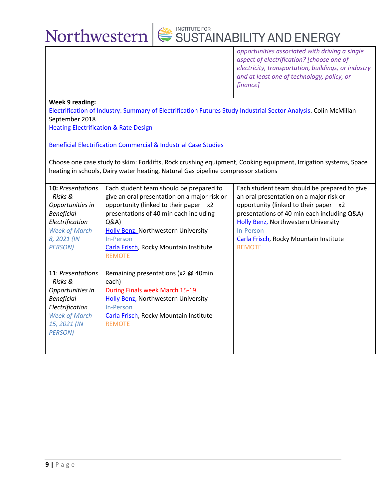![](_page_8_Picture_0.jpeg)

*opportunities associated with driving a single aspect of electrification? [choose one of electricity, transportation, buildings, or industry and at least one of technology, policy, or finance]*

**Week 9 reading:**

[Electrification of Industry: Summary of Electrification Futures Study Industrial Sector Analysis.](https://www.nrel.gov/docs/fy18osti/72311.pdf) Colin McMillan September 2018

[Heating Electrification & Rate Design](file:///C:/Users/htbenz/Box/MASTERS/CURRICULUM/SYLLABI/ISEN%20422%20-%20Electrify%20Everything/•%09https:/www.raponline.org/knowledge-center/heating-electrification-rate-design/)

[Beneficial Electrification Commercial & Industrial Case Studies](https://www.cooperative.com/programs-services/bts/Pages/TechSurveillance/Beneficial-Electrification-CI-Case-Studies.aspx)

Choose one case study to skim: Forklifts, Rock crushing equipment, Cooking equipment, Irrigation systems, Space heating in schools, Dairy water heating, Natural Gas pipeline compressor stations

| <b>10: Presentations</b><br>- Risks &<br>Opportunities in<br><b>Beneficial</b><br>Electrification<br><b>Week of March</b><br>8, 2021 (IN<br><b>PERSON</b> ) | Each student team should be prepared to<br>give an oral presentation on a major risk or<br>opportunity (linked to their paper $-x2$<br>presentations of 40 min each including<br>Q&A)<br><b>Holly Benz, Northwestern University</b><br>In-Person<br>Carla Frisch, Rocky Mountain Institute<br><b>REMOTE</b> | Each student team should be prepared to give<br>an oral presentation on a major risk or<br>opportunity (linked to their paper $-x2$<br>presentations of 40 min each including Q&A)<br>Holly Benz, Northwestern University<br>In-Person<br>Carla Frisch, Rocky Mountain Institute<br><b>REMOTE</b> |
|-------------------------------------------------------------------------------------------------------------------------------------------------------------|-------------------------------------------------------------------------------------------------------------------------------------------------------------------------------------------------------------------------------------------------------------------------------------------------------------|---------------------------------------------------------------------------------------------------------------------------------------------------------------------------------------------------------------------------------------------------------------------------------------------------|
| <b>11: Presentations</b><br>- Risks &<br>Opportunities in<br><b>Beneficial</b><br>Electrification<br><b>Week of March</b><br>15, 2021 (IN<br><b>PERSON)</b> | Remaining presentations (x2 @ 40min<br>each)<br>During Finals week March 15-19<br>Holly Benz, Northwestern University<br>In-Person<br>Carla Frisch, Rocky Mountain Institute<br><b>REMOTE</b>                                                                                                               |                                                                                                                                                                                                                                                                                                   |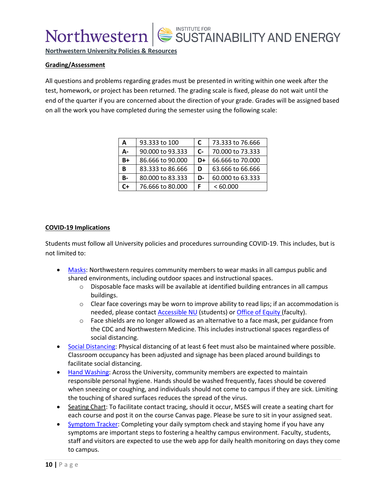SUSTAINABILITY AND ENERGY

**Northwestern University Policies & Resources**

#### **Grading/Assessment**

All questions and problems regarding grades must be presented in writing within one week after the test, homework, or project has been returned. The grading scale is fixed, please do not wait until the end of the quarter if you are concerned about the direction of your grade. Grades will be assigned based on all the work you have completed during the semester using the following scale:

| A    | 93.333 to 100    | C                    | 73.333 to 76.666 |
|------|------------------|----------------------|------------------|
| А-   | 90,000 to 93,333 | $\mathsf{C}\text{-}$ | 70,000 to 73,333 |
| B+   | 86.666 to 90.000 | D+                   | 66,666 to 70,000 |
| В    | 83.333 to 86.666 | D                    | 63.666 to 66.666 |
| B-   | 80,000 to 83,333 | D-                   | 60,000 to 63,333 |
| $C+$ | 76,666 to 80,000 | F                    | < 60.000         |

#### **COVID-19 Implications**

Students must follow all University policies and procedures surrounding COVID-19. This includes, but is not limited to:

- [Masks:](https://www.northwestern.edu/coronavirus-covid-19-updates/academics/instructional-spaces/behaviors-expectations/covid-19-guidelines.html#masks) Northwestern requires community members to wear masks in all campus public and shared environments, including outdoor spaces and instructional spaces.
	- $\circ$  Disposable face masks will be available at identified building entrances in all campus buildings.
	- $\circ$  Clear face coverings may be worn to improve ability to read lips; if an accommodation is needed, please contact [Accessible NU](https://www.northwestern.edu/accessiblenu/) (students) or [Office of Equity](https://www.northwestern.edu/equity/) (faculty).
	- $\circ$  Face shields are no longer allowed as an alternative to a face mask, per guidance from the CDC and Northwestern Medicine. This includes instructional spaces regardless of social distancing.
- [Social Distancing:](https://www.northwestern.edu/coronavirus-covid-19-updates/academics/instructional-spaces/behaviors-expectations/covid-19-guidelines.html#physical) Physical distancing of at least 6 feet must also be maintained where possible. Classroom occupancy has been adjusted and signage has been placed around buildings to facilitate social distancing.
- [Hand Washing:](https://www.northwestern.edu/coronavirus-covid-19-updates/university-status/expectations/guidelines/cleaning-disinfecting-hygiene/index.html) Across the University, community members are expected to maintain responsible personal hygiene. Hands should be washed frequently, faces should be covered when sneezing or coughing, and individuals should not come to campus if they are sick. Limiting the touching of shared surfaces reduces the spread of the virus.
- Seating Chart: To facilitate contact tracing, should it occur, MSES will create a seating chart for each course and post it on the course Canvas page. Please be sure to sit in your assigned seat.
- [Symptom Tracker:](https://www.northwestern.edu/coronavirus-covid-19-updates/health/health-monitoring/symptom-tracker/index.html) Completing your daily symptom check and staying home if you have any symptoms are important steps to fostering a healthy campus environment. Faculty, students, staff and visitors are expected to use the web app for daily health monitoring on days they come to campus.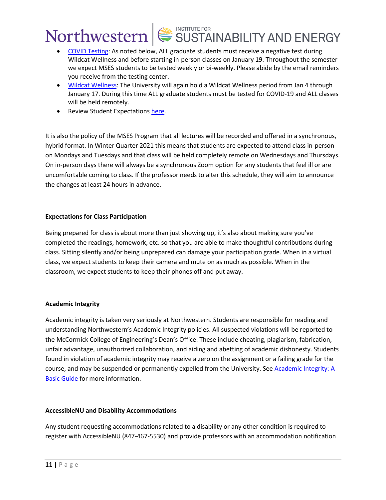- [COVID Testing:](https://www.northwestern.edu/coronavirus-covid-19-updates/health/testing/graduate-professional-students.html) As noted below, ALL graduate students must receive a negative test during Wildcat Wellness and before starting in-person classes on January 19. Throughout the semester we expect MSES students to be tested weekly or bi-weekly. Please abide by the email reminders you receive from the testing center.
- [Wildcat Wellness:](https://www.northwestern.edu/coronavirus-covid-19-updates/health/wildcat-wellness/index.html) The University will again hold a Wildcat Wellness period from Jan 4 through January 17. During this time ALL graduate students must be tested for COVID-19 and ALL classes will be held remotely.
- Review Student Expectations [here.](https://www.northwestern.edu/coronavirus-covid-19-updates/academics/instructional-spaces/behaviors-expectations/new-responsibilities.html#student)

It is also the policy of the MSES Program that all lectures will be recorded and offered in a synchronous, hybrid format. In Winter Quarter 2021 this means that students are expected to attend class in-person on Mondays and Tuesdays and that class will be held completely remote on Wednesdays and Thursdays. On in-person days there will always be a synchronous Zoom option for any students that feel ill or are uncomfortable coming to class. If the professor needs to alter this schedule, they will aim to announce the changes at least 24 hours in advance.

#### **Expectations for Class Participation**

Being prepared for class is about more than just showing up, it's also about making sure you've completed the readings, homework, etc. so that you are able to make thoughtful contributions during class. Sitting silently and/or being unprepared can damage your participation grade. When in a virtual class, we expect students to keep their camera and mute on as much as possible. When in the classroom, we expect students to keep their phones off and put away.

### **Academic Integrity**

Academic integrity is taken very seriously at Northwestern. Students are responsible for reading and understanding Northwestern's Academic Integrity policies. All suspected violations will be reported to the McCormick College of Engineering's Dean's Office. These include cheating, plagiarism, fabrication, unfair advantage, unauthorized collaboration, and aiding and abetting of academic dishonesty. Students found in violation of academic integrity may receive a zero on the assignment or a failing grade for the course, and may be suspended or permanently expelled from the University. See [Academic Integrity: A](https://www.northwestern.edu/provost/policies/academic-integrity/Academic-Integrity-Guide-August-2019.pdf)  [Basic Guide](https://www.northwestern.edu/provost/policies/academic-integrity/Academic-Integrity-Guide-August-2019.pdf) for more information.

#### **AccessibleNU and Disability Accommodations**

Any student requesting accommodations related to a disability or any other condition is required to register with AccessibleNU (847-467-5530) and provide professors with an accommodation notification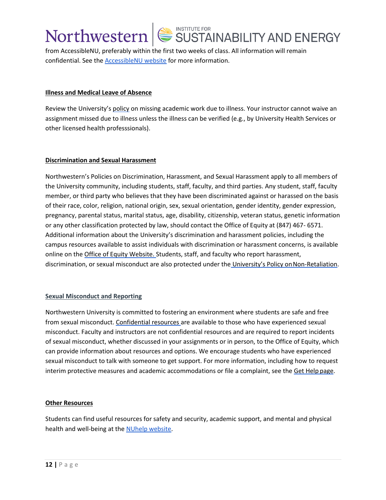from AccessibleNU, preferably within the first two weeks of class. All information will remain confidential. See the **AccessibleNU** website for more information.

#### **Illness and Medical Leave of Absence**

Review the University's [policy](https://www.northwestern.edu/healthservice-evanston/policies/academic-work-missed-for-medical-reasons/index.html) on missing academic work due to illness. Your instructor cannot waive an assignment missed due to illness unless the illness can be verified (e.g., by University Health Services or other licensed health professsionals).

#### **Discrimination and Sexual Harassment**

Northwestern's Policies on Discrimination, Harassment, and Sexual Harassment apply to all members of the University community, including students, staff, faculty, and third parties. Any student, staff, faculty member, or third party who believes that they have been discriminated against or harassed on the basis of their race, color, religion, national origin, sex, sexual orientation, gender identity, gender expression, pregnancy, parental status, marital status, age, disability, citizenship, veteran status, genetic information or any other classification protected by law, should contact the Office of Equity at (847) 467- 6571. Additional information about the University's discrimination and harassment policies, including the campus resources available to assist individuals with discrimination or harassment concerns, is available online on the [Office of Equity Website.](https://www.northwestern.edu/equity/) Students, staff, and faculty who report harassment, discrimination, or sexual misconduct are also protected under the [University's Policy on](https://policies.northwestern.edu/docs/non-retaliation-policy-FINAL.pdf) Non-Retaliation.

#### **Sexual Misconduct and Reporting**

Northwestern University is committed to fostering an environment where students are safe and free from sexual misconduct. [Confidential resources a](https://www.northwestern.edu/sexual-misconduct/get-help/confidential-support.html)re available to those who have experienced sexual misconduct. Faculty and instructors are not confidential resources and are required to report incidents of sexual misconduct, whether discussed in your assignments or in person, to the Office of Equity, which can provide information about resources and options. We encourage students who have experienced sexual misconduct to talk with someone to get support. For more information, including how to request interim protective measures and academic accommodations or file a complaint, see the [Get Help](https://www.northwestern.edu/sexual-misconduct/get-help/index.html) page.

#### **Other Resources**

Students can find useful resources for safety and security, academic support, and mental and physical health and well-being at the [NUhelp website.](https://www.northwestern.edu/nuhelp/)